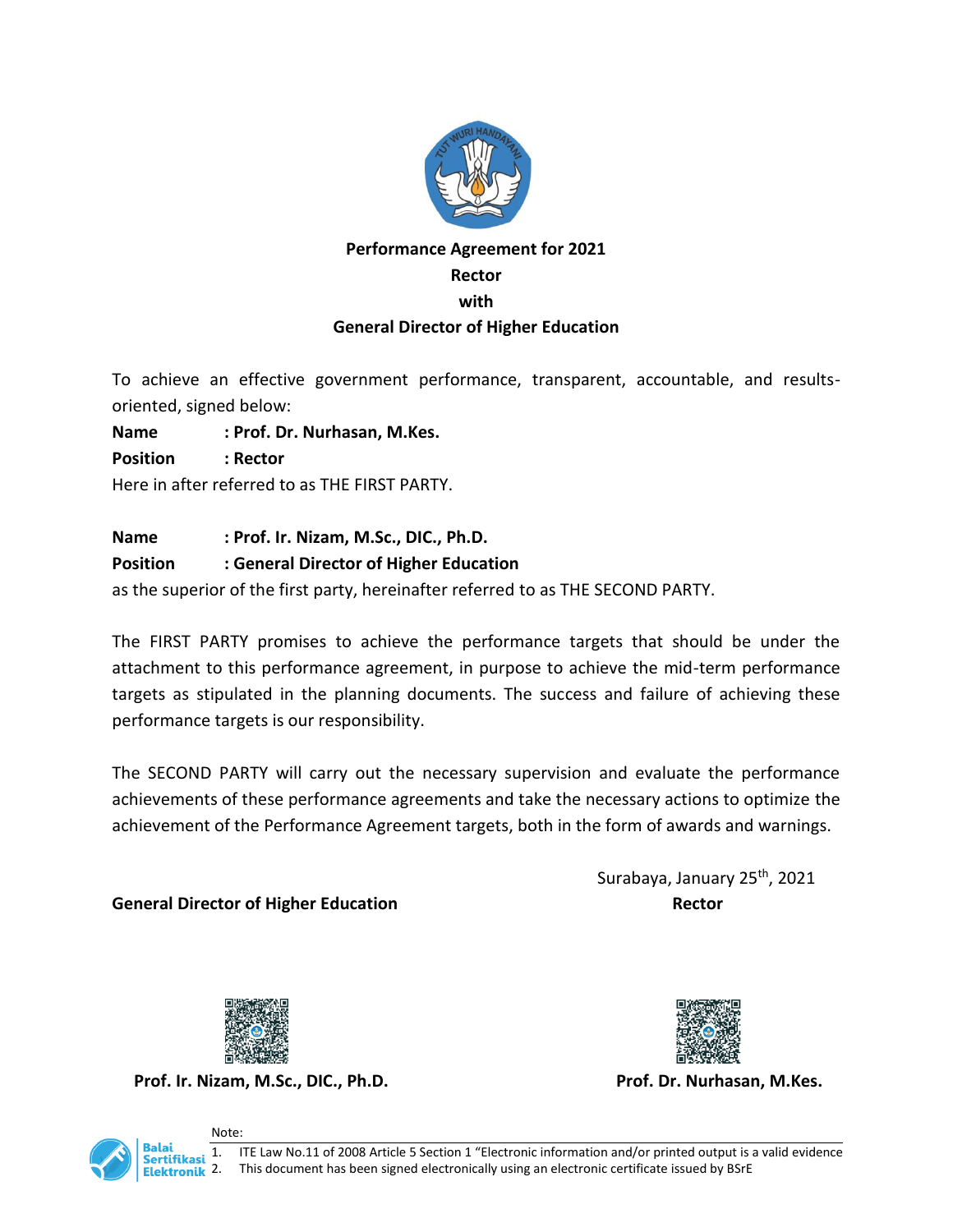

## **Performance Agreement for 2021 Rector with General Director of Higher Education**

To achieve an effective government performance, transparent, accountable, and results-

oriented, signed below:

**Name : Prof. Dr. Nurhasan, M.Kes.**

**Position : Rector**

Here in after referred to as THE FIRST PARTY.

## **Name : Prof. Ir. Nizam, M.Sc., DIC., Ph.D.**

## **Position : General Director of Higher Education**

as the superior of the first party, hereinafter referred to as THE SECOND PARTY.

The FIRST PARTY promises to achieve the performance targets that should be under the attachment to this performance agreement, in purpose to achieve the mid-term performance targets as stipulated in the planning documents. The success and failure of achieving these performance targets is our responsibility.

The SECOND PARTY will carry out the necessary supervision and evaluate the performance achievements of these performance agreements and take the necessary actions to optimize the achievement of the Performance Agreement targets, both in the form of awards and warnings.

**General Director of Higher Education Rector Rector** 

Surabaya, January 25<sup>th</sup>, 2021



**Prof. Ir. Nizam, M.Sc., DIC., Ph.D. Prof. Dr. Nurhasan, M.Kes.**





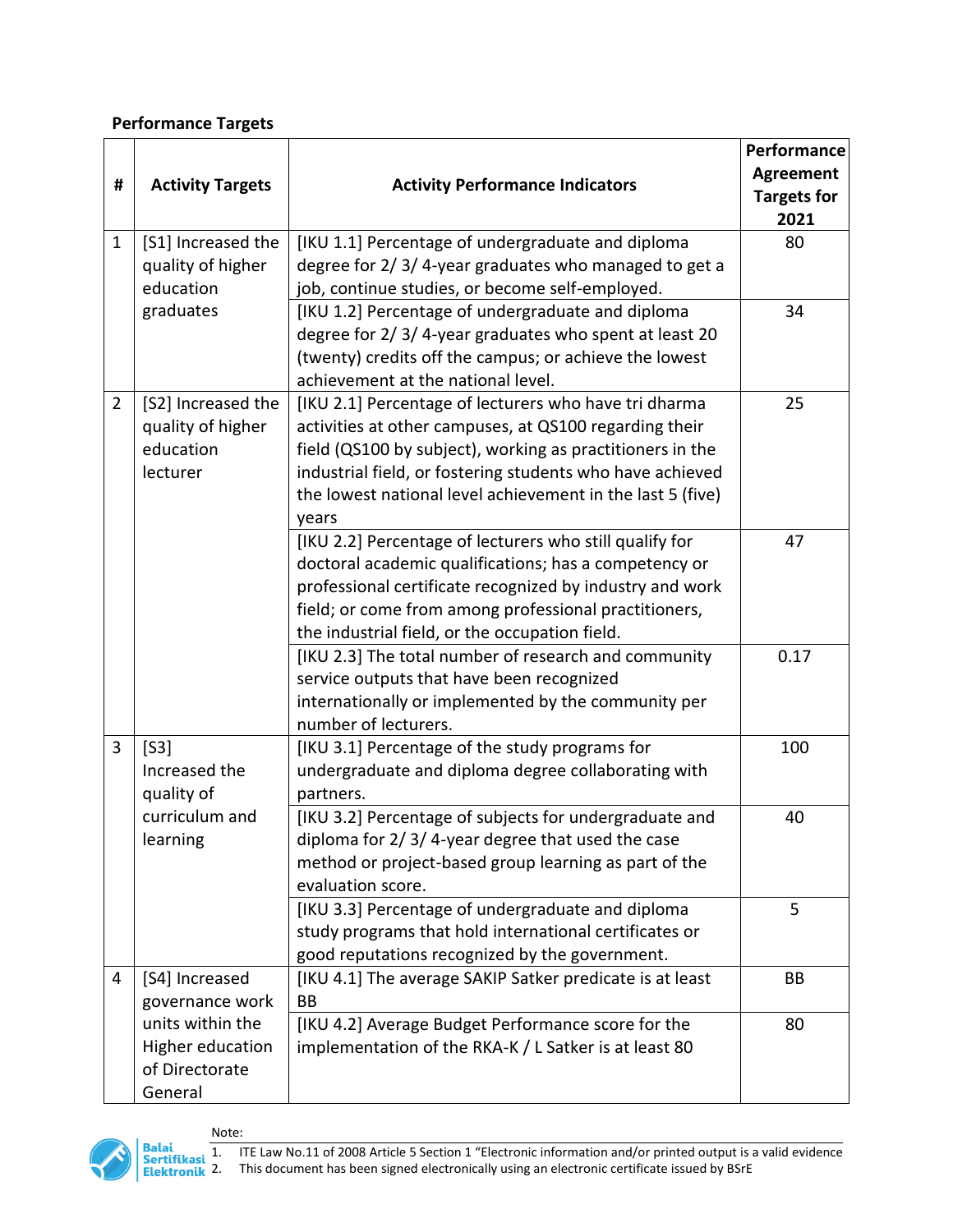## **Performance Targets**

|                |                         |                                                            | Performance        |
|----------------|-------------------------|------------------------------------------------------------|--------------------|
|                |                         |                                                            | <b>Agreement</b>   |
| #              | <b>Activity Targets</b> | <b>Activity Performance Indicators</b>                     | <b>Targets for</b> |
|                |                         |                                                            | 2021               |
| $\mathbf{1}$   | [S1] Increased the      | [IKU 1.1] Percentage of undergraduate and diploma          | 80                 |
|                | quality of higher       | degree for 2/3/4-year graduates who managed to get a       |                    |
|                | education               | job, continue studies, or become self-employed.            |                    |
|                | graduates               | [IKU 1.2] Percentage of undergraduate and diploma          | 34                 |
|                |                         | degree for 2/3/4-year graduates who spent at least 20      |                    |
|                |                         | (twenty) credits off the campus; or achieve the lowest     |                    |
|                |                         | achievement at the national level.                         |                    |
| $\overline{2}$ | [S2] Increased the      | [IKU 2.1] Percentage of lecturers who have tri dharma      | 25                 |
|                | quality of higher       | activities at other campuses, at QS100 regarding their     |                    |
|                | education               | field (QS100 by subject), working as practitioners in the  |                    |
|                | lecturer                | industrial field, or fostering students who have achieved  |                    |
|                |                         | the lowest national level achievement in the last 5 (five) |                    |
|                |                         | years                                                      |                    |
|                |                         | [IKU 2.2] Percentage of lecturers who still qualify for    | 47                 |
|                |                         | doctoral academic qualifications; has a competency or      |                    |
|                |                         | professional certificate recognized by industry and work   |                    |
|                |                         | field; or come from among professional practitioners,      |                    |
|                |                         | the industrial field, or the occupation field.             |                    |
|                |                         | [IKU 2.3] The total number of research and community       | 0.17               |
|                |                         | service outputs that have been recognized                  |                    |
|                |                         | internationally or implemented by the community per        |                    |
|                |                         | number of lecturers.                                       |                    |
| 3              | [53]                    | [IKU 3.1] Percentage of the study programs for             | 100                |
|                | Increased the           | undergraduate and diploma degree collaborating with        |                    |
|                | quality of              | partners.                                                  |                    |
|                | curriculum and          | [IKU 3.2] Percentage of subjects for undergraduate and     | 40                 |
|                | learning                | diploma for 2/3/4-year degree that used the case           |                    |
|                |                         | method or project-based group learning as part of the      |                    |
|                |                         | evaluation score.                                          |                    |
|                |                         | [IKU 3.3] Percentage of undergraduate and diploma          | 5                  |
|                |                         | study programs that hold international certificates or     |                    |
|                |                         | good reputations recognized by the government.             |                    |
| 4              | [S4] Increased          | [IKU 4.1] The average SAKIP Satker predicate is at least   | BB                 |
|                | governance work         | BB                                                         |                    |
|                | units within the        | [IKU 4.2] Average Budget Performance score for the         | 80                 |
|                | Higher education        | implementation of the RKA-K / L Satker is at least 80      |                    |
|                | of Directorate          |                                                            |                    |
|                | General                 |                                                            |                    |